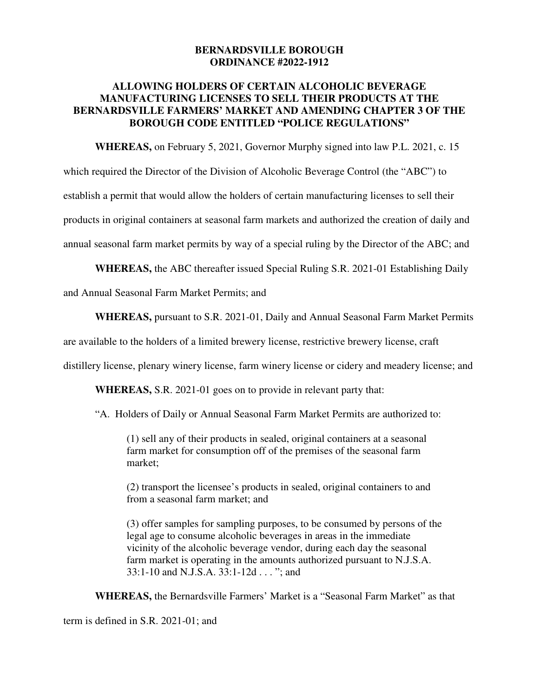## **BERNARDSVILLE BOROUGH ORDINANCE #2022-1912**

## **ALLOWING HOLDERS OF CERTAIN ALCOHOLIC BEVERAGE MANUFACTURING LICENSES TO SELL THEIR PRODUCTS AT THE BERNARDSVILLE FARMERS' MARKET AND AMENDING CHAPTER 3 OF THE BOROUGH CODE ENTITLED "POLICE REGULATIONS"**

**WHEREAS,** on February 5, 2021, Governor Murphy signed into law P.L. 2021, c. 15 which required the Director of the Division of Alcoholic Beverage Control (the "ABC") to establish a permit that would allow the holders of certain manufacturing licenses to sell their

products in original containers at seasonal farm markets and authorized the creation of daily and

annual seasonal farm market permits by way of a special ruling by the Director of the ABC; and

**WHEREAS,** the ABC thereafter issued Special Ruling S.R. 2021-01 Establishing Daily

and Annual Seasonal Farm Market Permits; and

**WHEREAS,** pursuant to S.R. 2021-01, Daily and Annual Seasonal Farm Market Permits

are available to the holders of a limited brewery license, restrictive brewery license, craft

distillery license, plenary winery license, farm winery license or cidery and meadery license; and

**WHEREAS,** S.R. 2021-01 goes on to provide in relevant party that:

"A. Holders of Daily or Annual Seasonal Farm Market Permits are authorized to:

(1) sell any of their products in sealed, original containers at a seasonal farm market for consumption off of the premises of the seasonal farm market;

(2) transport the licensee's products in sealed, original containers to and from a seasonal farm market; and

(3) offer samples for sampling purposes, to be consumed by persons of the legal age to consume alcoholic beverages in areas in the immediate vicinity of the alcoholic beverage vendor, during each day the seasonal farm market is operating in the amounts authorized pursuant to N.J.S.A. 33:1-10 and N.J.S.A. 33:1-12d . . . "; and

**WHEREAS,** the Bernardsville Farmers' Market is a "Seasonal Farm Market" as that

term is defined in S.R. 2021-01; and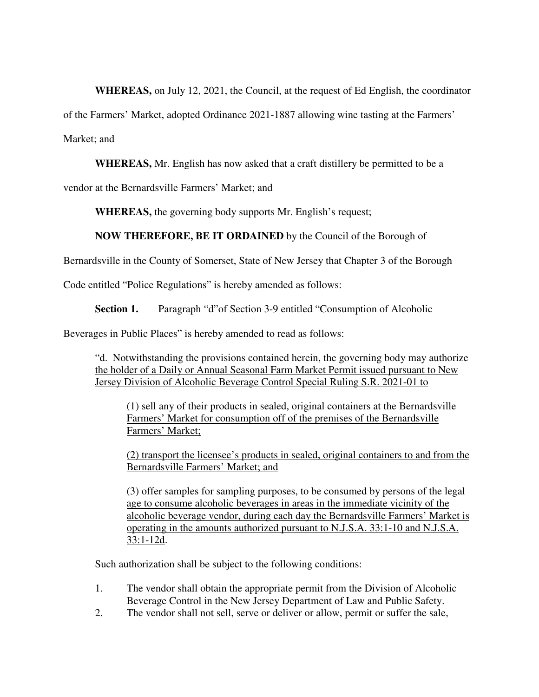**WHEREAS,** on July 12, 2021, the Council, at the request of Ed English, the coordinator

of the Farmers' Market, adopted Ordinance 2021-1887 allowing wine tasting at the Farmers'

Market; and

**WHEREAS,** Mr. English has now asked that a craft distillery be permitted to be a

vendor at the Bernardsville Farmers' Market; and

**WHEREAS,** the governing body supports Mr. English's request;

## **NOW THEREFORE, BE IT ORDAINED** by the Council of the Borough of

Bernardsville in the County of Somerset, State of New Jersey that Chapter 3 of the Borough

Code entitled "Police Regulations" is hereby amended as follows:

**Section 1.** Paragraph "d"of Section 3-9 entitled "Consumption of Alcoholic

Beverages in Public Places" is hereby amended to read as follows:

"d. Notwithstanding the provisions contained herein, the governing body may authorize the holder of a Daily or Annual Seasonal Farm Market Permit issued pursuant to New Jersey Division of Alcoholic Beverage Control Special Ruling S.R. 2021-01 to

(1) sell any of their products in sealed, original containers at the Bernardsville Farmers' Market for consumption off of the premises of the Bernardsville Farmers' Market;

(2) transport the licensee's products in sealed, original containers to and from the Bernardsville Farmers' Market; and

(3) offer samples for sampling purposes, to be consumed by persons of the legal age to consume alcoholic beverages in areas in the immediate vicinity of the alcoholic beverage vendor, during each day the Bernardsville Farmers' Market is operating in the amounts authorized pursuant to N.J.S.A. 33:1-10 and N.J.S.A. 33:1-12d.

Such authorization shall be subject to the following conditions:

- 1. The vendor shall obtain the appropriate permit from the Division of Alcoholic Beverage Control in the New Jersey Department of Law and Public Safety.
- 2. The vendor shall not sell, serve or deliver or allow, permit or suffer the sale,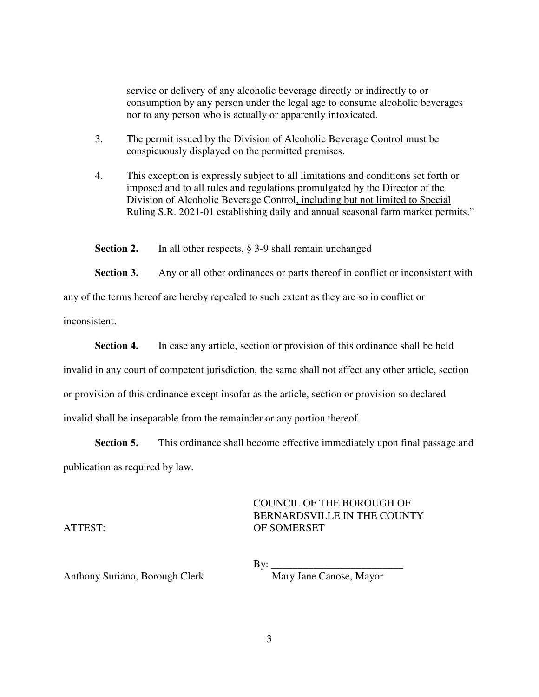service or delivery of any alcoholic beverage directly or indirectly to or consumption by any person under the legal age to consume alcoholic beverages nor to any person who is actually or apparently intoxicated.

- 3. The permit issued by the Division of Alcoholic Beverage Control must be conspicuously displayed on the permitted premises.
- 4. This exception is expressly subject to all limitations and conditions set forth or imposed and to all rules and regulations promulgated by the Director of the Division of Alcoholic Beverage Control, including but not limited to Special Ruling S.R. 2021-01 establishing daily and annual seasonal farm market permits."

**Section 2.** In all other respects, § 3-9 shall remain unchanged

**Section 3.** Any or all other ordinances or parts thereof in conflict or inconsistent with

any of the terms hereof are hereby repealed to such extent as they are so in conflict or

inconsistent.

**Section 4.** In case any article, section or provision of this ordinance shall be held

invalid in any court of competent jurisdiction, the same shall not affect any other article, section

or provision of this ordinance except insofar as the article, section or provision so declared

invalid shall be inseparable from the remainder or any portion thereof.

**Section 5.** This ordinance shall become effective immediately upon final passage and publication as required by law.

## COUNCIL OF THE BOROUGH OF BERNARDSVILLE IN THE COUNTY ATTEST: OF SOMERSET

By: \_\_\_\_\_\_\_\_\_\_\_\_\_\_\_\_\_\_\_\_\_\_\_\_\_

Anthony Suriano, Borough Clerk Mary Jane Canose, Mayor